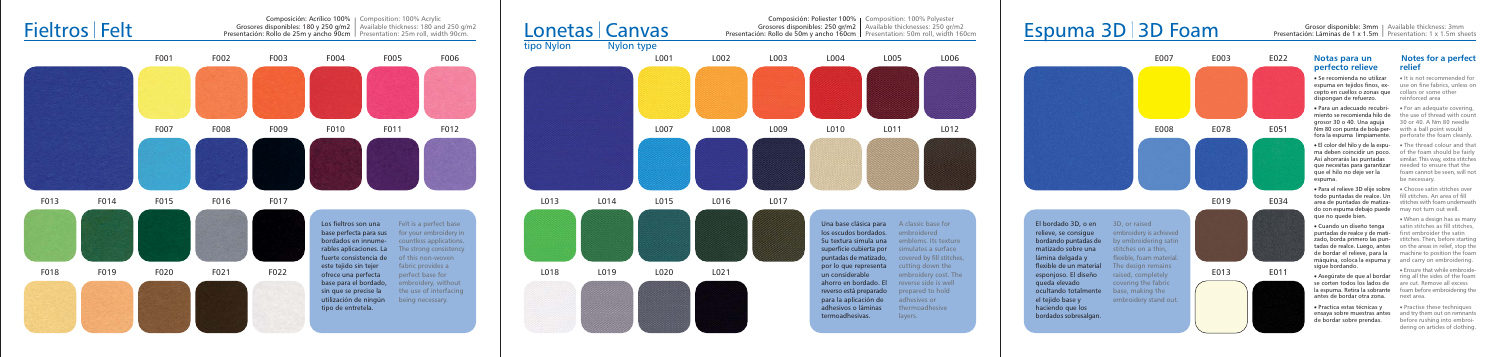



### Espuma 3D 3D Foam



Grosor disponible: 3mm | Available thickness: 3mm Presentación: Láminas de 1 x 1.5m | Presentation: 1 x 1.5m sheets

#### Notas para un perfecto relieve

• Se recomienda no utilizar espuma en tejidos finos, excepto en cuellos o zonas que collars or some other dispongan de refuerzo.

· Para un adecuado recubri-• For an adequate covering miento se recomienda hilo de the use of thread with count grosor 30 o 40. Una aguia Nm 80 con punta de bola per-<br>with a ball point would fora la espuma limpiamente. perforate the foam cleanly

• El color del hilo y de la espu- • The thread colour and that ma deben coincidir un poco. Así ahorrarás las puntadas que necesitas para garantizar que el hilo no deie ver la espuma.

todo puntadas de realce. Un fill stitches. An area of fill area de puntadas de matiza-<br>stitches with foam underneath do con espuma debajo puede may not turn out well. que no quede bien.

• Cuando un diseño tenga puntadas de realce y de mati-<br>first embroider the satin máquina, coloca la espuma y and carry on embroidering sigue bordando.

se corten todos los lados de are cut. Remove all excess antes de bordar otra zona.

• Practica estas técnicas v ensaya sobre muestras antes de bordar sobre prendas.

# 30 or 40. A Nm 80 needle

Notes for a perfect

• It is not recommended for

use on fine fabrics, unless on

relief

reinforced area

of the foam should be fairly similar. This way, extra stitches needed to ensure that the foam cannot be seen, will not be necessary.

• Para el relieve 3D elije sobre · Choose satin stitches over

· When a design has as many satin stitches as fill stitches zado, borda primero las pun-<br>stitches. Then, before starting tadas de realce. Luego, antes on the areas in relief, stop the de bordar el relieve, para la machine to position the foam

. Ensure that while embroide • Asegúrate de que al bordar ring all the sides of the foam la espuma. Retira la sobrante foam before embroidering the next area.

> • Practise these techniques and try them out on remnants before rushing into embroidering on articles of clothing.